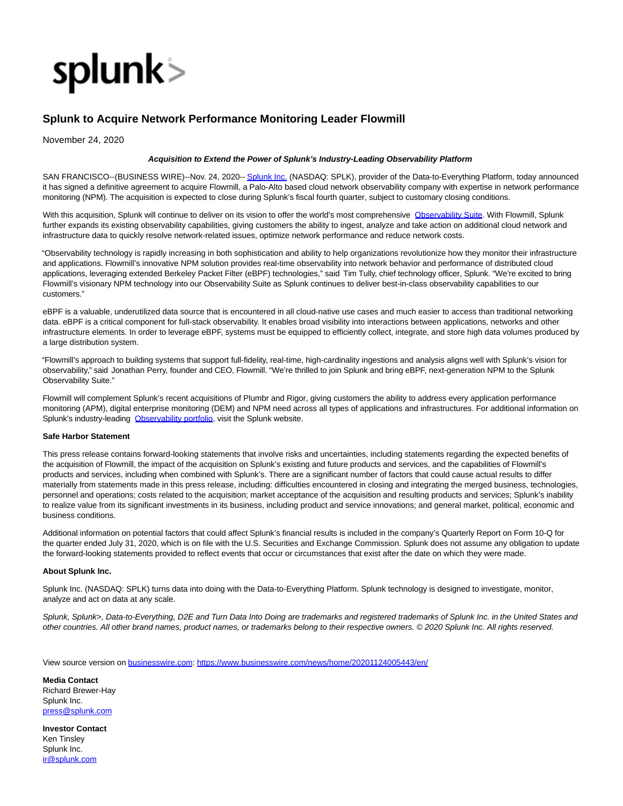

## **Splunk to Acquire Network Performance Monitoring Leader Flowmill**

November 24, 2020

## **Acquisition to Extend the Power of Splunk's Industry-Leading Observability Platform**

SAN FRANCISCO--(BUSINESS WIRE)--Nov. 24, 2020-[- Splunk Inc. \(](https://cts.businesswire.com/ct/CT?id=smartlink&url=http%3A%2F%2Fwww.splunk.com%2F&esheet=52335415&newsitemid=20201124005443&lan=en-US&anchor=Splunk+Inc.&index=1&md5=7881ec3096015c056031abb87d3ce28e)NASDAQ: SPLK), provider of the Data-to-Everything Platform, today announced it has signed a definitive agreement to acquire Flowmill, a Palo-Alto based cloud network observability company with expertise in network performance monitoring (NPM). The acquisition is expected to close during Splunk's fiscal fourth quarter, subject to customary closing conditions.

With this acquisition, Splunk will continue to deliver on its vision to offer the world's most comprehensive [Observability Suite.](https://cts.businesswire.com/ct/CT?id=smartlink&url=https%3A%2F%2Fwww.splunk.com%2Fen_us%2Fdevops.html&esheet=52335415&newsitemid=20201124005443&lan=en-US&anchor=Observability+Suite&index=2&md5=632ce411777a9984614cd71882cab121) With Flowmill, Splunk further expands its existing observability capabilities, giving customers the ability to ingest, analyze and take action on additional cloud network and infrastructure data to quickly resolve network-related issues, optimize network performance and reduce network costs.

"Observability technology is rapidly increasing in both sophistication and ability to help organizations revolutionize how they monitor their infrastructure and applications. Flowmill's innovative NPM solution provides real-time observability into network behavior and performance of distributed cloud applications, leveraging extended Berkeley Packet Filter (eBPF) technologies," said Tim Tully, chief technology officer, Splunk. "We're excited to bring Flowmill's visionary NPM technology into our Observability Suite as Splunk continues to deliver best-in-class observability capabilities to our customers."

eBPF is a valuable, underutilized data source that is encountered in all cloud-native use cases and much easier to access than traditional networking data. eBPF is a critical component for full-stack observability. It enables broad visibility into interactions between applications, networks and other infrastructure elements. In order to leverage eBPF, systems must be equipped to efficiently collect, integrate, and store high data volumes produced by a large distribution system.

"Flowmill's approach to building systems that support full-fidelity, real-time, high-cardinality ingestions and analysis aligns well with Splunk's vision for observability," said Jonathan Perry, founder and CEO, Flowmill. "We're thrilled to join Splunk and bring eBPF, next-generation NPM to the Splunk Observability Suite."

Flowmill will complement Splunk's recent acquisitions of Plumbr and Rigor, giving customers the ability to address every application performance monitoring (APM), digital enterprise monitoring (DEM) and NPM need across all types of applications and infrastructures. For additional information on Splunk's industry-leading [Observability portfolio,](https://cts.businesswire.com/ct/CT?id=smartlink&url=https%3A%2F%2Fwww.splunk.com%2Fen_us%2Fdevops.html&esheet=52335415&newsitemid=20201124005443&lan=en-US&anchor=Observability+portfolio&index=3&md5=c8661d19ef2234025387b6025b307508) visit the Splunk website.

## **Safe Harbor Statement**

This press release contains forward-looking statements that involve risks and uncertainties, including statements regarding the expected benefits of the acquisition of Flowmill, the impact of the acquisition on Splunk's existing and future products and services, and the capabilities of Flowmill's products and services, including when combined with Splunk's. There are a significant number of factors that could cause actual results to differ materially from statements made in this press release, including: difficulties encountered in closing and integrating the merged business, technologies, personnel and operations; costs related to the acquisition; market acceptance of the acquisition and resulting products and services; Splunk's inability to realize value from its significant investments in its business, including product and service innovations; and general market, political, economic and business conditions.

Additional information on potential factors that could affect Splunk's financial results is included in the company's Quarterly Report on Form 10-Q for the quarter ended July 31, 2020, which is on file with the U.S. Securities and Exchange Commission. Splunk does not assume any obligation to update the forward-looking statements provided to reflect events that occur or circumstances that exist after the date on which they were made.

## **About Splunk Inc.**

Splunk Inc. (NASDAQ: SPLK) turns data into doing with the Data-to-Everything Platform. Splunk technology is designed to investigate, monitor, analyze and act on data at any scale.

Splunk, Splunk>, Data-to-Everything, D2E and Turn Data Into Doing are trademarks and registered trademarks of Splunk Inc. in the United States and other countries. All other brand names, product names, or trademarks belong to their respective owners. © 2020 Splunk Inc. All rights reserved.

View source version on [businesswire.com:](http://businesswire.com/)<https://www.businesswire.com/news/home/20201124005443/en/>

**Media Contact** Richard Brewer-Hay Splunk Inc. [press@splunk.com](mailto:press@splunk.com)

**Investor Contact** Ken Tinsley Splunk Inc. [ir@splunk.com](mailto:ir@splunk.com)